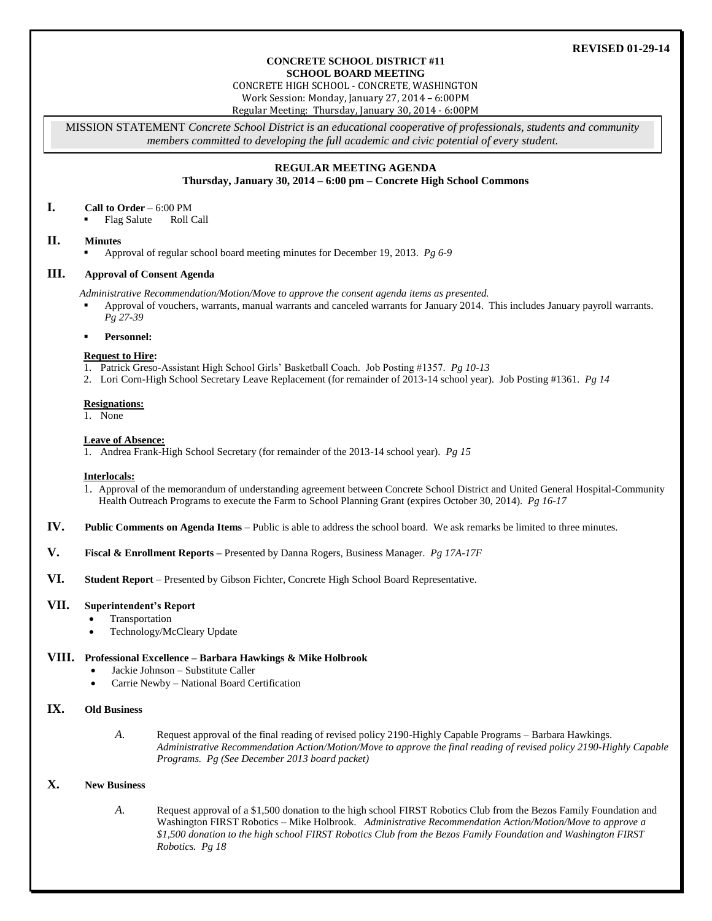## **REVISED 01-29-14**

#### **CONCRETE SCHOOL DISTRICT #11 SCHOOL BOARD MEETING**

CONCRETE HIGH SCHOOL - CONCRETE, WASHINGTON Work Session: Monday, January 27, 2014 – 6:00PM

Regular Meeting: Thursday, January 30, 2014 - 6:00PM

MISSION STATEMENT *Concrete School District is an educational cooperative of professionals, students and community members committed to developing the full academic and civic potential of every student.*

## **REGULAR MEETING AGENDA**

**Thursday, January 30, 2014 – 6:00 pm – Concrete High School Commons**

# **I. Call to Order** – 6:00 PM

Flag Salute Roll Call

### **II. Minutes**

Approval of regular school board meeting minutes for December 19, 2013. *Pg 6-9*

# **III. Approval of Consent Agenda**

*Administrative Recommendation/Motion/Move to approve the consent agenda items as presented.*

 Approval of vouchers, warrants, manual warrants and canceled warrants for January 2014. This includes January payroll warrants. *Pg 27-39*

#### **Personnel:**

#### **Request to Hire:**

- 1. Patrick Greso-Assistant High School Girls' Basketball Coach. Job Posting #1357. *Pg 10-13*
- 2. Lori Corn-High School Secretary Leave Replacement (for remainder of 2013-14 school year). Job Posting #1361. *Pg 14*

#### **Resignations:**

1. None

#### **Leave of Absence:**

1. Andrea Frank-High School Secretary (for remainder of the 2013-14 school year). *Pg 15*

### **Interlocals:**

- 1. Approval of the memorandum of understanding agreement between Concrete School District and United General Hospital-Community Health Outreach Programs to execute the Farm to School Planning Grant (expires October 30, 2014). *Pg 16-17*
- **IV. Public Comments on Agenda Items** Public is able to address the school board. We ask remarks be limited to three minutes.
- **V. Fiscal & Enrollment Reports –** Presented by Danna Rogers, Business Manager. *Pg 17A-17F*
- **VI. Student Report** Presented by Gibson Fichter, Concrete High School Board Representative.

### **VII. Superintendent's Report**

- Transportation
- Technology/McCleary Update

### **VIII. Professional Excellence – Barbara Hawkings & Mike Holbrook**

- Jackie Johnson Substitute Caller
- Carrie Newby National Board Certification

# **IX. Old Business**

*A.* Request approval of the final reading of revised policy 2190-Highly Capable Programs – Barbara Hawkings. *Administrative Recommendation Action/Motion/Move to approve the final reading of revised policy 2190-Highly Capable Programs. Pg (See December 2013 board packet)*

# **X. New Business**

*A.* Request approval of a \$1,500 donation to the high school FIRST Robotics Club from the Bezos Family Foundation and Washington FIRST Robotics – Mike Holbrook. *Administrative Recommendation Action/Motion/Move to approve a \$1,500 donation to the high school FIRST Robotics Club from the Bezos Family Foundation and Washington FIRST Robotics. Pg 18*